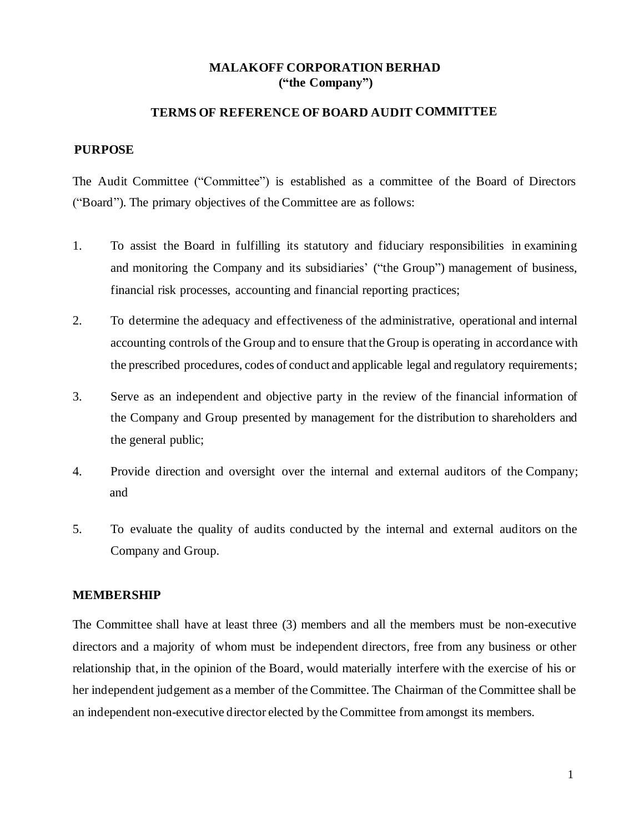# **MALAKOFF CORPORATION BERHAD ("the Company")**

## **TERMS OF REFERENCE OF BOARD AUDIT COMMITTEE**

#### **PURPOSE**

The Audit Committee ("Committee") is established as a committee of the Board of Directors ("Board"). The primary objectives of the Committee are as follows:

- 1. To assist the Board in fulfilling its statutory and fiduciary responsibilities in examining and monitoring the Company and its subsidiaries' ("the Group") management of business, financial risk processes, accounting and financial reporting practices;
- 2. To determine the adequacy and effectiveness of the administrative, operational and internal accounting controls of the Group and to ensure that the Group is operating in accordance with the prescribed procedures, codes of conduct and applicable legal and regulatory requirements;
- 3. Serve as an independent and objective party in the review of the financial information of the Company and Group presented by management for the distribution to shareholders and the general public;
- 4. Provide direction and oversight over the internal and external auditors of the Company; and
- 5. To evaluate the quality of audits conducted by the internal and external auditors on the Company and Group.

### **MEMBERSHIP**

The Committee shall have at least three (3) members and all the members must be non-executive directors and a majority of whom must be independent directors, free from any business or other relationship that, in the opinion of the Board, would materially interfere with the exercise of his or her independent judgement as a member of the Committee. The Chairman of the Committee shall be an independent non-executive director elected by the Committee from amongst its members.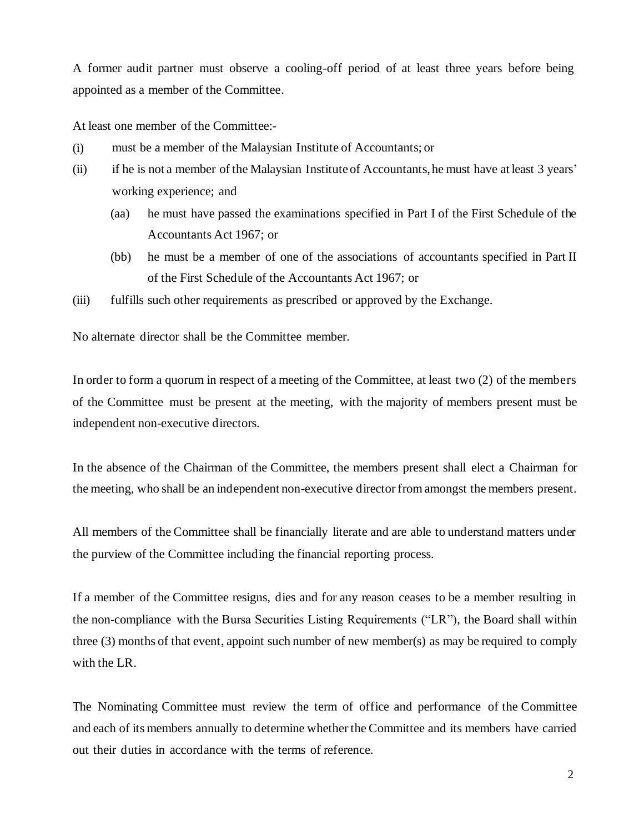A former audit partner must observe a cooling-off period of at least three years before being appointed as a member of the Committee.

At least one member of the Committee:-

- (i) must be a member of the Malaysian Institute of Accountants; or
- (ii) if he is not a member of the Malaysian Instituteof Accountants, he must have at least 3 years' working experience; and
	- (aa) he must have passed the examinations specified in Part I of the First Schedule of the Accountants Act 1967; or
	- (bb) he must be a member of one of the associations of accountants specified in Part II of the First Schedule of the Accountants Act 1967; or
- (iii) fulfills such other requirements as prescribed or approved by the Exchange.

No alternate director shall be the Committee member.

In order to form a quorum in respect of a meeting of the Committee, at least two (2) of the members of the Committee must be present at the meeting, with the majority of members present must be independent non-executive directors.

In the absence of the Chairman of the Committee, the members present shall elect a Chairman for the meeting, who shall be an independent non-executive director from amongst the members present.

All members of the Committee shall be financially literate and are able to understand matters under the purview of the Committee including the financial reporting process.

If a member of the Committee resigns, dies and for any reason ceases to be a member resulting in the non-compliance with the Bursa Securities Listing Requirements ("LR"), the Board shall within three (3) months of that event, appoint such number of new member(s) as may be required to comply with the LR.

The Nominating Committee must review the term of office and performance of the Committee and each of its members annually to determine whether the Committee and its members have carried out their duties in accordance with the terms of reference.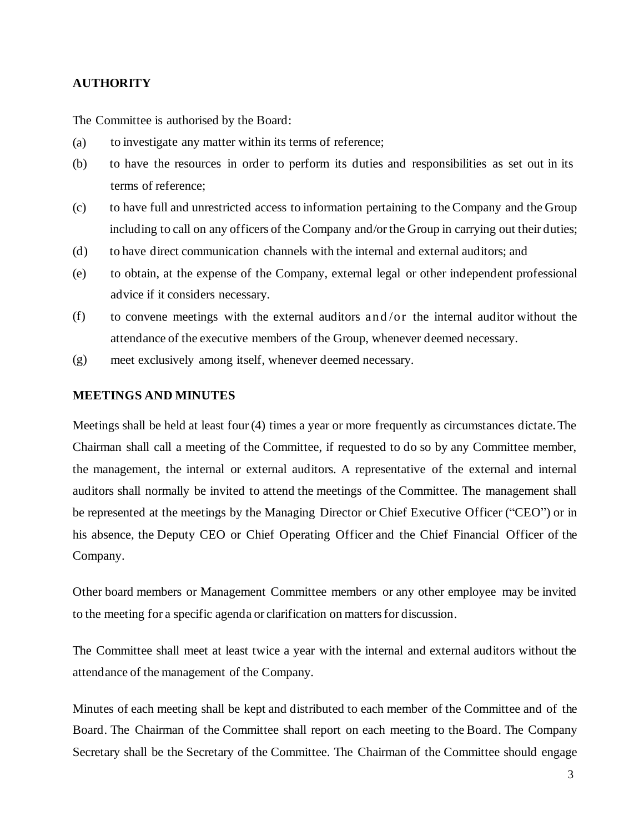### **AUTHORITY**

The Committee is authorised by the Board:

- (a) to investigate any matter within its terms of reference;
- (b) to have the resources in order to perform its duties and responsibilities as set out in its terms of reference;
- (c) to have full and unrestricted access to information pertaining to the Company and the Group including to call on any officers of the Company and/or the Group in carrying out their duties;
- (d) to have direct communication channels with the internal and external auditors; and
- (e) to obtain, at the expense of the Company, external legal or other independent professional advice if it considers necessary.
- (f) to convene meetings with the external auditors and /or the internal auditor without the attendance of the executive members of the Group, whenever deemed necessary.
- (g) meet exclusively among itself, whenever deemed necessary.

#### **MEETINGS AND MINUTES**

Meetings shall be held at least four (4) times a year or more frequently as circumstances dictate.The Chairman shall call a meeting of the Committee, if requested to do so by any Committee member, the management, the internal or external auditors. A representative of the external and internal auditors shall normally be invited to attend the meetings of the Committee. The management shall be represented at the meetings by the Managing Director or Chief Executive Officer ("CEO") or in his absence, the Deputy CEO or Chief Operating Officer and the Chief Financial Officer of the Company.

Other board members or Management Committee members or any other employee may be invited to the meeting for a specific agenda or clarification on matters for discussion.

The Committee shall meet at least twice a year with the internal and external auditors without the attendance of the management of the Company.

Minutes of each meeting shall be kept and distributed to each member of the Committee and of the Board. The Chairman of the Committee shall report on each meeting to the Board. The Company Secretary shall be the Secretary of the Committee. The Chairman of the Committee should engage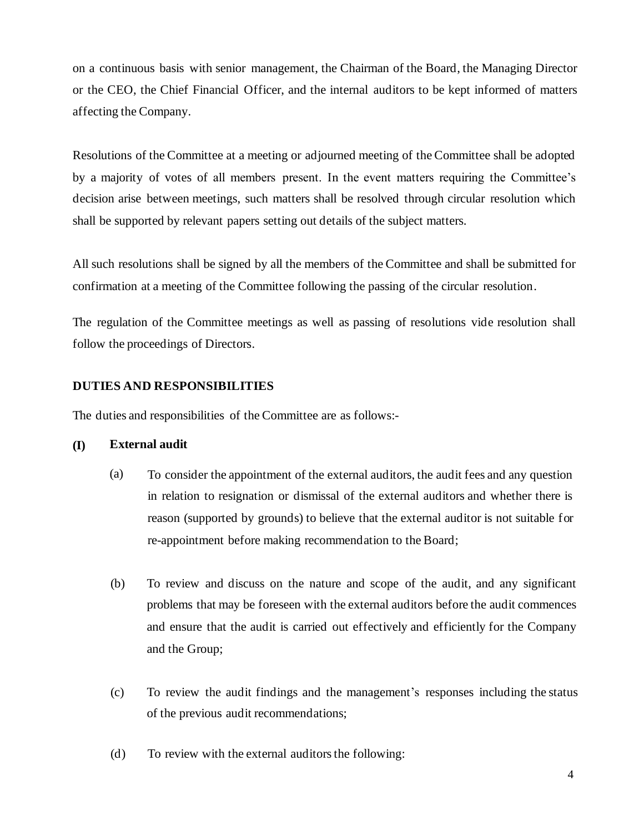on a continuous basis with senior management, the Chairman of the Board, the Managing Director or the CEO, the Chief Financial Officer, and the internal auditors to be kept informed of matters affecting the Company.

Resolutions of the Committee at a meeting or adjourned meeting of the Committee shall be adopted by a majority of votes of all members present. In the event matters requiring the Committee's decision arise between meetings, such matters shall be resolved through circular resolution which shall be supported by relevant papers setting out details of the subject matters.

All such resolutions shall be signed by all the members of the Committee and shall be submitted for confirmation at a meeting of the Committee following the passing of the circular resolution.

The regulation of the Committee meetings as well as passing of resolutions vide resolution shall follow the proceedings of Directors.

# **DUTIES AND RESPONSIBILITIES**

The duties and responsibilities of the Committee are as follows:-

# **(I) External audit**

- (a) To consider the appointment of the external auditors, the audit fees and any question in relation to resignation or dismissal of the external auditors and whether there is reason (supported by grounds) to believe that the external auditor is not suitable for re-appointment before making recommendation to the Board;
- (b) To review and discuss on the nature and scope of the audit, and any significant problems that may be foreseen with the external auditors before the audit commences and ensure that the audit is carried out effectively and efficiently for the Company and the Group;
- (c) To review the audit findings and the management's responses including the status of the previous audit recommendations;
- (d) To review with the external auditors the following: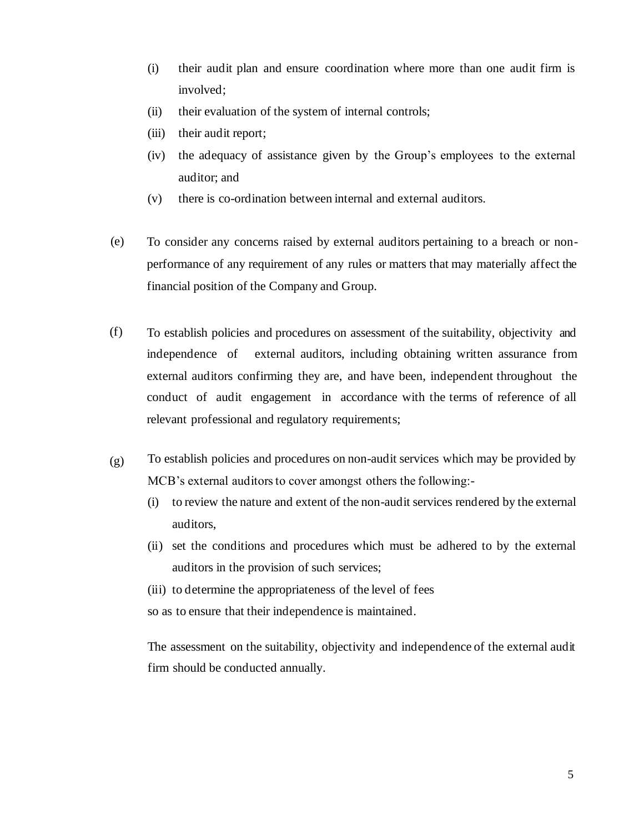- (i) their audit plan and ensure coordination where more than one audit firm is involved;
- (ii) their evaluation of the system of internal controls;
- (iii) their audit report;
- (iv) the adequacy of assistance given by the Group's employees to the external auditor; and
- (v) there is co-ordination between internal and external auditors.
- (e) To consider any concerns raised by external auditors pertaining to a breach or nonperformance of any requirement of any rules or matters that may materially affect the financial position of the Company and Group.
- (f) To establish policies and procedures on assessment of the suitability, objectivity and independence of external auditors, including obtaining written assurance from external auditors confirming they are, and have been, independent throughout the conduct of audit engagement in accordance with the terms of reference of all relevant professional and regulatory requirements;
- (g) To establish policies and procedures on non-audit services which may be provided by MCB's external auditors to cover amongst others the following:-
	- (i) to review the nature and extent of the non-audit services rendered by the external auditors,
	- (ii) set the conditions and procedures which must be adhered to by the external auditors in the provision of such services;
	- (iii) to determine the appropriateness of the level of fees

so as to ensure that their independence is maintained.

The assessment on the suitability, objectivity and independence of the external audit firm should be conducted annually.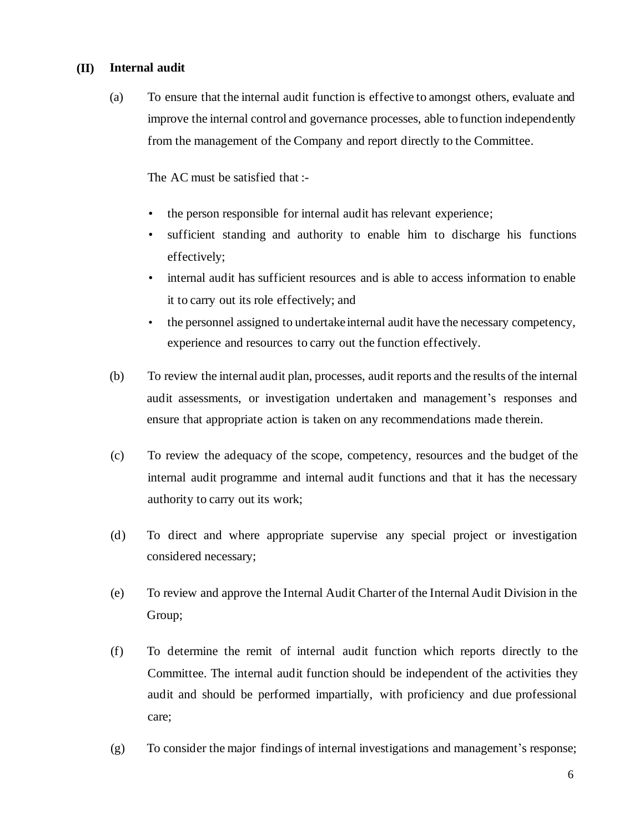## **(II) Internal audit**

(a) To ensure that the internal audit function is effective to amongst others, evaluate and improve the internal control and governance processes, able to function independently from the management of the Company and report directly to the Committee.

The AC must be satisfied that :-

- the person responsible for internal audit has relevant experience;
- sufficient standing and authority to enable him to discharge his functions effectively;
- internal audit has sufficient resources and is able to access information to enable it to carry out its role effectively; and
- the personnel assigned to undertake internal audit have the necessary competency, experience and resources to carry out the function effectively.
- (b) To review the internal audit plan, processes, audit reports and the results of the internal audit assessments, or investigation undertaken and management's responses and ensure that appropriate action is taken on any recommendations made therein.
- (c) To review the adequacy of the scope, competency, resources and the budget of the internal audit programme and internal audit functions and that it has the necessary authority to carry out its work;
- (d) To direct and where appropriate supervise any special project or investigation considered necessary;
- (e) To review and approve the Internal Audit Charter of the Internal Audit Division in the Group;
- (f) To determine the remit of internal audit function which reports directly to the Committee. The internal audit function should be independent of the activities they audit and should be performed impartially, with proficiency and due professional care;
- (g) To consider the major findings of internal investigations and management's response;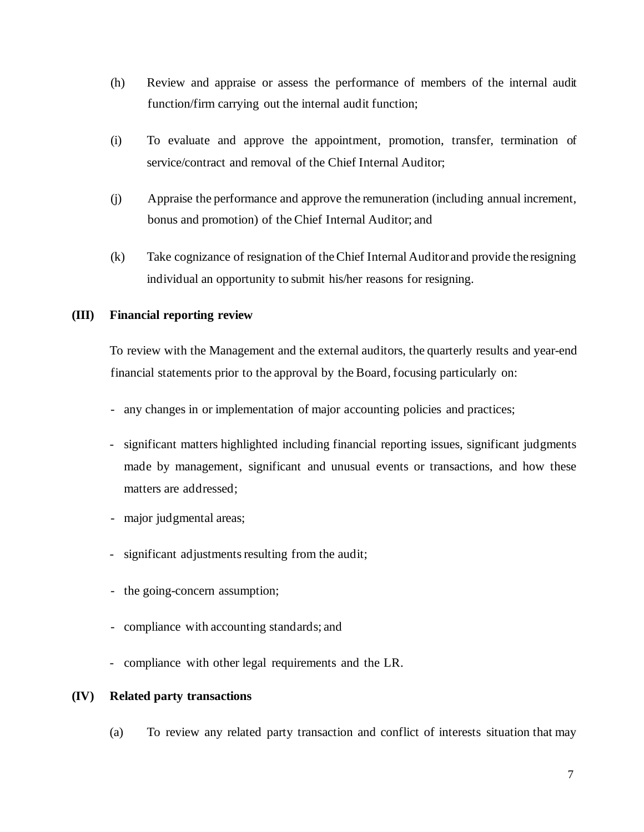- (h) Review and appraise or assess the performance of members of the internal audit function/firm carrying out the internal audit function;
- (i) To evaluate and approve the appointment, promotion, transfer, termination of service/contract and removal of the Chief Internal Auditor;
- (j) Appraise the performance and approve the remuneration (including annual increment, bonus and promotion) of the Chief Internal Auditor; and
- (k) Take cognizance of resignation of the Chief Internal Auditor and provide the resigning individual an opportunity to submit his/her reasons for resigning.

# **(III) Financial reporting review**

To review with the Management and the external auditors, the quarterly results and year-end financial statements prior to the approval by the Board, focusing particularly on:

- any changes in or implementation of major accounting policies and practices;
- significant matters highlighted including financial reporting issues, significant judgments made by management, significant and unusual events or transactions, and how these matters are addressed;
- major judgmental areas;
- significant adjustments resulting from the audit;
- the going-concern assumption;
- compliance with accounting standards; and
- compliance with other legal requirements and the LR.

# **(IV) Related party transactions**

(a) To review any related party transaction and conflict of interests situation that may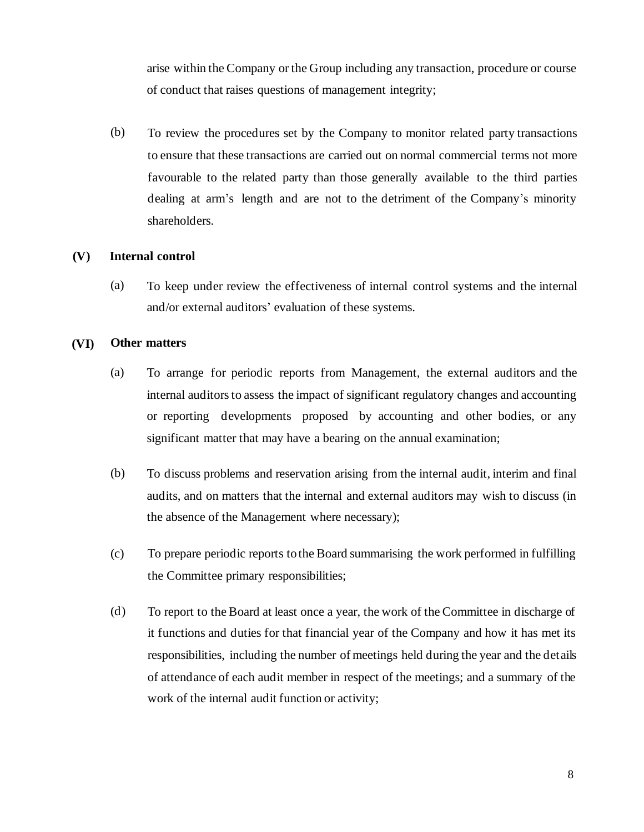arise within the Company or the Group including any transaction, procedure or course of conduct that raises questions of management integrity;

(b) To review the procedures set by the Company to monitor related party transactions to ensure that these transactions are carried out on normal commercial terms not more favourable to the related party than those generally available to the third parties dealing at arm's length and are not to the detriment of the Company's minority shareholders.

### **(V) Internal control**

(a) To keep under review the effectiveness of internal control systems and the internal and/or external auditors' evaluation of these systems.

#### **(VI) Other matters**

- (a) To arrange for periodic reports from Management, the external auditors and the internal auditors to assess the impact of significant regulatory changes and accounting or reporting developments proposed by accounting and other bodies, or any significant matter that may have a bearing on the annual examination;
- (b) To discuss problems and reservation arising from the internal audit, interim and final audits, and on matters that the internal and external auditors may wish to discuss (in the absence of the Management where necessary);
- (c) To prepare periodic reports to the Board summarising the work performed in fulfilling the Committee primary responsibilities;
- (d) To report to the Board at least once a year, the work of the Committee in discharge of it functions and duties for that financial year of the Company and how it has met its responsibilities, including the number of meetings held during the year and the details of attendance of each audit member in respect of the meetings; and a summary of the work of the internal audit function or activity;